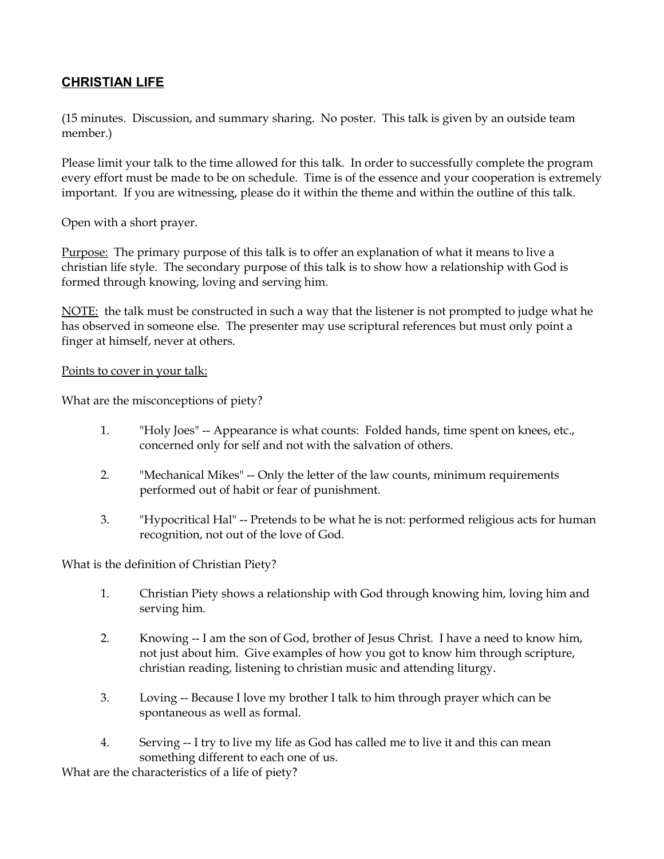## **CHRISTIAN LIFE**

(15 minutes. Discussion, and summary sharing. No poster. This talk is given by an outside team member.)

Please limit your talk to the time allowed for this talk. In order to successfully complete the program every effort must be made to be on schedule. Time is of the essence and your cooperation is extremely important. If you are witnessing, please do it within the theme and within the outline of this talk.

Open with a short prayer.

Purpose: The primary purpose of this talk is to offer an explanation of what it means to live a christian life style. The secondary purpose of this talk is to show how a relationship with God is formed through knowing, loving and serving him.

 $\overline{\text{NOTE}}$ : the talk must be constructed in such a way that the listener is not prompted to judge what he has observed in someone else. The presenter may use scriptural references but must only point a finger at himself, never at others.

## Points to cover in your talk:

What are the misconceptions of piety?

- 1. "Holy Joes" -- Appearance is what counts: Folded hands, time spent on knees, etc., concerned only for self and not with the salvation of others.
- 2. "Mechanical Mikes" -- Only the letter of the law counts, minimum requirements performed out of habit or fear of punishment.
- 3. "Hypocritical Hal" -- Pretends to be what he is not: performed religious acts for human recognition, not out of the love of God.

What is the definition of Christian Piety?

- 1. Christian Piety shows a relationship with God through knowing him, loving him and serving him.
- 2. Knowing -- I am the son of God, brother of Jesus Christ. I have a need to know him, not just about him. Give examples of how you got to know him through scripture, christian reading, listening to christian music and attending liturgy.
- 3. Loving -- Because I love my brother I talk to him through prayer which can be spontaneous as well as formal.
- 4. Serving -- I try to live my life as God has called me to live it and this can mean something different to each one of us.

What are the characteristics of a life of piety?